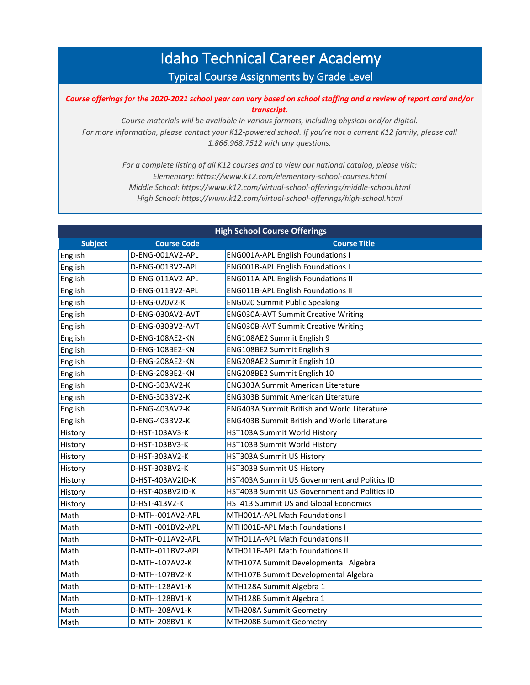## Idaho Technical Career Academy Typical Course Assignments by Grade Level

## *Course offerings for the 2020-2021 school year can vary based on school staffing and a review of report card and/or transcript.*

*Course materials will be available in various formats, including physical and/or digital. For more information, please contact your K12-powered school. If you're not a current K12 family, please call 1.866.968.7512 with any questions.*

> *For a complete listing of all K12 courses and to view our national catalog, please visit: Elementary: https://www.k12.com/elementary-school-courses.html Middle School: https://www.k12.com/virtual-school-offerings/middle-school.html High School: https://www.k12.com/virtual-school-offerings/high-school.html*

| <b>High School Course Offerings</b> |                    |                                                    |  |
|-------------------------------------|--------------------|----------------------------------------------------|--|
| <b>Subject</b>                      | <b>Course Code</b> | <b>Course Title</b>                                |  |
| English                             | D-ENG-001AV2-APL   | <b>ENG001A-APL English Foundations I</b>           |  |
| English                             | D-ENG-001BV2-APL   | <b>ENG001B-APL English Foundations I</b>           |  |
| English                             | D-ENG-011AV2-APL   | <b>ENG011A-APL English Foundations II</b>          |  |
| English                             | D-ENG-011BV2-APL   | <b>ENG011B-APL English Foundations II</b>          |  |
| English                             | D-ENG-020V2-K      | <b>ENG020 Summit Public Speaking</b>               |  |
| English                             | D-ENG-030AV2-AVT   | ENG030A-AVT Summit Creative Writing                |  |
| English                             | D-ENG-030BV2-AVT   | <b>ENG030B-AVT Summit Creative Writing</b>         |  |
| English                             | D-ENG-108AE2-KN    | ENG108AE2 Summit English 9                         |  |
| English                             | D-ENG-108BE2-KN    | ENG108BE2 Summit English 9                         |  |
| English                             | D-ENG-208AE2-KN    | ENG208AE2 Summit English 10                        |  |
| English                             | D-ENG-208BE2-KN    | ENG208BE2 Summit English 10                        |  |
| English                             | D-ENG-303AV2-K     | <b>ENG303A Summit American Literature</b>          |  |
| English                             | D-ENG-303BV2-K     | <b>ENG303B Summit American Literature</b>          |  |
| English                             | D-ENG-403AV2-K     | <b>ENG403A Summit British and World Literature</b> |  |
| English                             | D-ENG-403BV2-K     | <b>ENG403B Summit British and World Literature</b> |  |
| History                             | D-HST-103AV3-K     | HST103A Summit World History                       |  |
| History                             | D-HST-103BV3-K     | HST103B Summit World History                       |  |
| History                             | D-HST-303AV2-K     | HST303A Summit US History                          |  |
| History                             | D-HST-303BV2-K     | HST303B Summit US History                          |  |
| History                             | D-HST-403AV2ID-K   | HST403A Summit US Government and Politics ID       |  |
| History                             | D-HST-403BV2ID-K   | HST403B Summit US Government and Politics ID       |  |
| History                             | D-HST-413V2-K      | <b>HST413 Summit US and Global Economics</b>       |  |
| Math                                | D-MTH-001AV2-APL   | MTH001A-APL Math Foundations I                     |  |
| Math                                | D-MTH-001BV2-APL   | MTH001B-APL Math Foundations I                     |  |
| Math                                | D-MTH-011AV2-APL   | MTH011A-APL Math Foundations II                    |  |
| Math                                | D-MTH-011BV2-APL   | MTH011B-APL Math Foundations II                    |  |
| Math                                | D-MTH-107AV2-K     | MTH107A Summit Developmental Algebra               |  |
| Math                                | D-MTH-107BV2-K     | MTH107B Summit Developmental Algebra               |  |
| Math                                | D-MTH-128AV1-K     | MTH128A Summit Algebra 1                           |  |
| Math                                | D-MTH-128BV1-K     | MTH128B Summit Algebra 1                           |  |
| Math                                | D-MTH-208AV1-K     | MTH208A Summit Geometry                            |  |
| Math                                | D-MTH-208BV1-K     | MTH208B Summit Geometry                            |  |